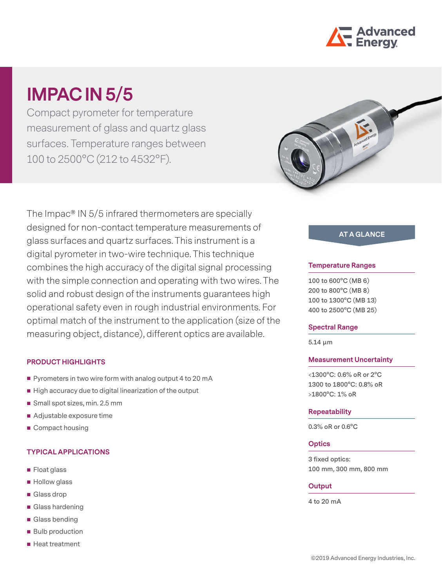

# **IMPAC IN 5/5**

Compact pyrometer for temperature measurement of glass and quartz glass surfaces. Temperature ranges between 100 to 2500°C (212 to 4532°F).

The Impac® IN 5/5 infrared thermometers are specially designed for non-contact temperature measurements of glass surfaces and quartz surfaces. This instrument is a digital pyrometer in two-wire technique. This technique combines the high accuracy of the digital signal processing with the simple connection and operating with two wires. The solid and robust design of the instruments guarantees high operational safety even in rough industrial environments. For optimal match of the instrument to the application (size of the measuring object, distance), different optics are available.

## **PRODUCT HIGHLIGHTS**

- Pyrometers in two wire form with analog output 4 to 20 mA
- $\blacksquare$  High accuracy due to digital linearization of the output
- Small spot sizes, min. 2.5 mm
- Adjustable exposure time
- Compact housing

## **TYPICAL APPLICATIONS**

- **Float glass**
- **Hollow glass**
- Glass drop
- Glass hardening
- Glass bending
- **Bulb production**
- Heat treatment



# **AT A GLANCE**

#### **Temperature Ranges**

**100 to 600°C (MB 6) 200 to 800°C (MB 8) 100 to 1300°C (MB 13) 400 to 2500°C (MB 25)**

#### **Spectral Range**

**5.14 µm**

#### **Measurement Uncertainty**

**<1300°C: 0.6% oR or 2°C 1300 to 1800°C: 0.8% oR >1800°C: 1% oR**

#### **Repeatability**

**0.3% oR or 0.6°C**

## **Optics**

**3 fixed optics: 100 mm, 300 mm, 800 mm**

#### **Output**

**4 to 20 mA**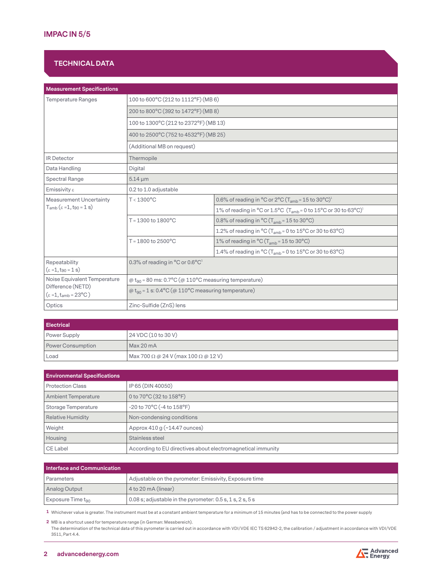# **TECHNICAL DATA**

| <b>Measurement Specifications</b>                                                            |                                                                                 |                                                                                                           |  |
|----------------------------------------------------------------------------------------------|---------------------------------------------------------------------------------|-----------------------------------------------------------------------------------------------------------|--|
| <b>Temperature Ranges</b>                                                                    | 100 to 600°C (212 to 1112°F) (MB6)                                              |                                                                                                           |  |
|                                                                                              | 200 to 800°C (392 to 1472°F) (MB 8)                                             |                                                                                                           |  |
|                                                                                              | 100 to 1300°C (212 to 2372°F) (MB 13)                                           |                                                                                                           |  |
|                                                                                              | 400 to 2500°C (752 to 4532°F) (MB 25)                                           |                                                                                                           |  |
|                                                                                              | (Additional MB on request)                                                      |                                                                                                           |  |
| <b>IR Detector</b>                                                                           | Thermopile                                                                      |                                                                                                           |  |
| Data Handling                                                                                | Digital                                                                         |                                                                                                           |  |
| Spectral Range                                                                               | $5.14 \mu m$                                                                    |                                                                                                           |  |
| Emissivity $\varepsilon$                                                                     | 0.2 to 1.0 adjustable                                                           |                                                                                                           |  |
| <b>Measurement Uncertainty</b>                                                               | $T < 1300^{\circ}$ C                                                            | 0.6% of reading in $^{\circ}$ C or 2 $^{\circ}$ C (T <sub>amb</sub> = 15 to 30 $^{\circ}$ C) <sup>1</sup> |  |
| $T_{amb}$ ( $\varepsilon$ =1, t <sub>90</sub> = 1 s)                                         |                                                                                 | 1% of reading in °C or 1.5°C ( $T_{amb}$ = 0 to 15°C or 30 to 63°C) <sup>1</sup>                          |  |
|                                                                                              | $T = 1300$ to $1800^{\circ}$ C                                                  | 0.8% of reading in $^{\circ}$ C (T <sub>amb</sub> = 15 to 30 $^{\circ}$ C)                                |  |
|                                                                                              |                                                                                 | 1.2% of reading in °C (T <sub>amb</sub> = 0 to 15°C or 30 to 63°C)                                        |  |
|                                                                                              | $T = 1800$ to 2500 $^{\circ}$ C                                                 | 1% of reading in $^{\circ}$ C (T <sub>amb</sub> = 15 to 30 $^{\circ}$ C)                                  |  |
|                                                                                              |                                                                                 | 1.4% of reading in $^{\circ}$ C (T <sub>amb</sub> = 0 to 15 $^{\circ}$ C or 30 to 63 $^{\circ}$ C)        |  |
| Repeatability<br>$(\epsilon = 1, t_{90} = 1 s)$                                              | 0.3% of reading in $^{\circ}$ C or 0.6 $^{\circ}$ C <sup>1</sup>                |                                                                                                           |  |
| Noise Equivalent Temperature<br>Difference (NETD)<br>$(\epsilon = 1, t_{amb} = 23^{\circ}C)$ | $\omega$ t <sub>90</sub> = 80 ms: 0.7°C ( $\omega$ 110°C measuring temperature) |                                                                                                           |  |
|                                                                                              | $\omega$ t <sub>90</sub> = 1 s: 0.4°C ( $\omega$ 110°C measuring temperature)   |                                                                                                           |  |
| Optics                                                                                       | Zinc-Sulfide (ZnS) lens                                                         |                                                                                                           |  |

| <b>Electrical</b> |                                                   |  |
|-------------------|---------------------------------------------------|--|
| Power Supply      | 24 VDC (10 to 30 V)                               |  |
| Power Consumption | Max 20 mA                                         |  |
| Load              | Max 700 $\Omega$ @ 24 V (max 100 $\Omega$ @ 12 V) |  |

| <b>Environmental Specifications</b> |                                                             |  |
|-------------------------------------|-------------------------------------------------------------|--|
| <b>Protection Class</b>             | IP 65 (DIN 40050)                                           |  |
| <b>Ambient Temperature</b>          | 0 to 70°C (32 to 158°F)                                     |  |
| Storage Temperature                 | $-20$ to $70^{\circ}$ C ( $-4$ to $158^{\circ}$ F)          |  |
| <b>Relative Humidity</b>            | Non-condensing conditions                                   |  |
| Weight                              | Approx 410 g (~14.47 ounces)                                |  |
| Housing                             | Stainless steel                                             |  |
| CE Label                            | According to EU directives about electromagnetical immunity |  |

| Interface and Communication   |                                                                   |  |
|-------------------------------|-------------------------------------------------------------------|--|
| Parameters                    | Adjustable on the pyrometer: Emissivity, Exposure time            |  |
| Analog Output                 | $4$ to 20 mA (linear)                                             |  |
| Exposure Time t <sub>on</sub> | $\vert$ 0.08 s; adjustable in the pyrometer: 0.5 s, 1 s, 2 s, 5 s |  |

**1** Whichever value is greater. The instrument must be at a constant ambient temperature for a minimum of 15 minutes (and has to be connected to the power supply

**2** MB is a shortcut used for temperature range (in German: Messbereich).

The determination of the technical data of this pyrometer is carried out in accordance with VDI/VDE IEC TS 62942-2, the calibration / adjustment in accordance with VDI/VDE 3511, Part 4.4.

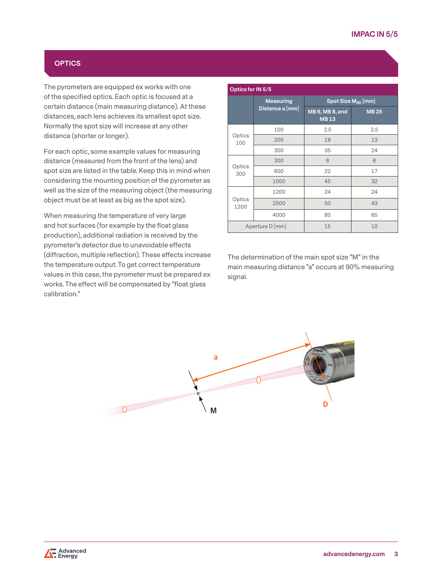## **OPTICS**

The pyrometers are equipped ex works with one of the specified optics. Each optic is focused at a certain distance (main measuring distance). At these distances, each lens achieves its smallest spot size. Normally the spot size will increase at any other distance (shorter or longer).

For each optic, some example values for measuring distance (measured from the front of the lens) and spot size are listed in the table. Keep this in mind when considering the mounting position of the pyrometer as well as the size of the measuring object (the measuring object must be at least as big as the spot size).

When measuring the temperature of very large and hot surfaces (for example by the float glass production), additional radiation is received by the pyrometer's detector due to unavoidable effects (diffraction, multiple reflection). These effects increase the temperature output. To get correct temperature values in this case, the pyrometer must be prepared ex works. The effect will be compensated by "float glass calibration."

| Optics for IN 5/5 |                                     |                                |             |  |
|-------------------|-------------------------------------|--------------------------------|-------------|--|
|                   | <b>Measuring</b><br>Distance a [mm] | Spot Size M <sub>90</sub> [mm] |             |  |
|                   |                                     | MB 6, MB 8, and<br><b>MB13</b> | <b>MB25</b> |  |
| Optics<br>100     | 100                                 | 2.5                            | 2.5         |  |
|                   | 200                                 | 18                             | 13          |  |
|                   | 300                                 | 35                             | 24          |  |
| Optics<br>300     | 300                                 | 6                              | 6           |  |
|                   | 600                                 | 22                             | 17          |  |
|                   | 1000                                | 45                             | 32          |  |
| Optics<br>1200    | 1200                                | 24                             | 24          |  |
|                   | 2500                                | 50                             | 43          |  |
|                   | 4000                                | 80                             | 65          |  |
| Aperture D [mm]   |                                     | 15                             | 10          |  |

The determination of the main spot size "M" in the main measuring distance "a" occurs at 90% measuring signal.

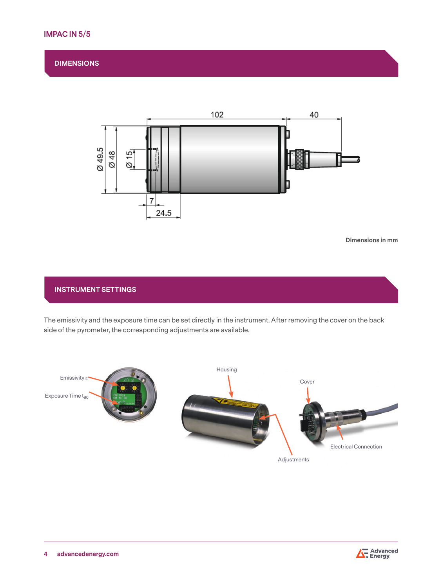# **IMPAC IN 5/5**

## **DIMENSIONS**



**Dimensions in mm**

## **INSTRUMENT SETTINGS**

The emissivity and the exposure time can be set directly in the instrument. After removing the cover on the back side of the pyrometer, the corresponding adjustments are available.



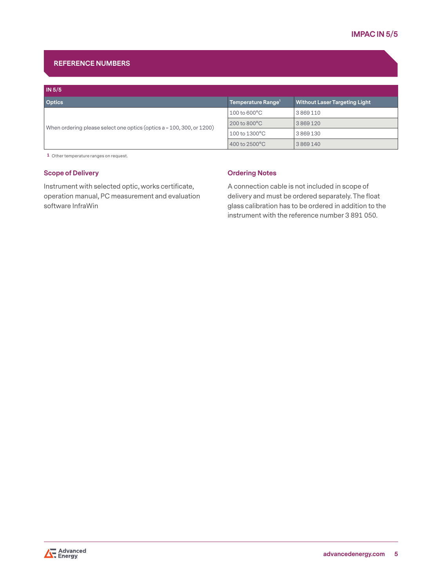# **REFERENCE NUMBERS**

| IN 5/5                                                                  |                                |                                      |
|-------------------------------------------------------------------------|--------------------------------|--------------------------------------|
| <b>Optics</b>                                                           | Temperature Range <sup>1</sup> | <b>Without Laser Targeting Light</b> |
|                                                                         | $100$ to $600^{\circ}$ C       | 3869110                              |
| When ordering please select one optics (optics $a = 100, 300,$ or 1200) | $200$ to $800^{\circ}$ C       | 3869120                              |
|                                                                         | 100 to 1300°C                  | 3869130                              |
|                                                                         | 400 to $2500^{\circ}$ C        | 3869140                              |

**1** Other temperature ranges on request.

## **Scope of Delivery**

Instrument with selected optic, works certificate, operation manual, PC measurement and evaluation software InfraWin

## **Ordering Notes**

A connection cable is not included in scope of delivery and must be ordered separately. The float glass calibration has to be ordered in addition to the instrument with the reference number 3 891 050.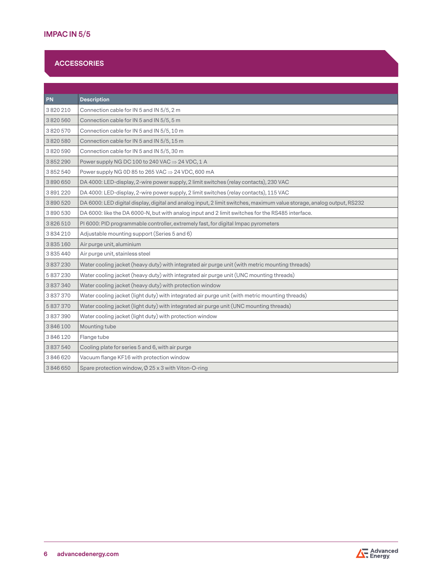# **ACCESSORIES**

| PN            | <b>Description</b>                                                                                                    |
|---------------|-----------------------------------------------------------------------------------------------------------------------|
| 3820210       | Connection cable for IN 5 and IN 5/5, 2 m                                                                             |
| 3820560       | Connection cable for IN 5 and IN 5/5, 5 m                                                                             |
| 3820570       | Connection cable for IN 5 and IN 5/5, 10 m                                                                            |
| 3820580       | Connection cable for IN 5 and IN 5/5, 15 m                                                                            |
| 3820590       | Connection cable for IN 5 and IN 5/5, 30 m                                                                            |
| 3852290       | Power supply NG DC 100 to 240 VAC $\Rightarrow$ 24 VDC, 1 A                                                           |
| 3852540       | Power supply NG 0D 85 to 265 VAC $\Rightarrow$ 24 VDC, 600 mA                                                         |
| 3890650       | DA 4000: LED-display, 2-wire power supply, 2 limit switches (relay contacts), 230 VAC                                 |
| 3891220       | DA 4000: LED-display, 2-wire power supply, 2 limit switches (relay contacts), 115 VAC                                 |
| 3890520       | DA 6000: LED digital display, digital and analog input, 2 limit switches, maximum value storage, analog output, RS232 |
| 3890530       | DA 6000: like the DA 6000-N, but with analog input and 2 limit switches for the RS485 interface.                      |
| 3826510       | PI 6000: PID programmable controller, extremely fast, for digital Impac pyrometers                                    |
| 3834210       | Adjustable mounting support (Series 5 and 6)                                                                          |
| 3835160       | Air purge unit, aluminium                                                                                             |
| 3 8 3 5 4 4 0 | Air purge unit, stainless steel                                                                                       |
| 3837230       | Water cooling jacket (heavy duty) with integrated air purge unit (with metric mounting threads)                       |
| 5837230       | Water cooling jacket (heavy duty) with integrated air purge unit (UNC mounting threads)                               |
| 3837340       | Water cooling jacket (heavy duty) with protection window                                                              |
| 3837370       | Water cooling jacket (light duty) with integrated air purge unit (with metric mounting threads)                       |
| 5837370       | Water cooling jacket (light duty) with integrated air purge unit (UNC mounting threads)                               |
| 3837390       | Water cooling jacket (light duty) with protection window                                                              |
| 3846100       | Mounting tube                                                                                                         |
| 3846120       | Flange tube                                                                                                           |
| 3837540       | Cooling plate for series 5 and 6, with air purge                                                                      |
| 3846620       | Vacuum flange KF16 with protection window                                                                             |
| 3846650       | Spare protection window, $\varphi$ 25 x 3 with Viton-O-ring                                                           |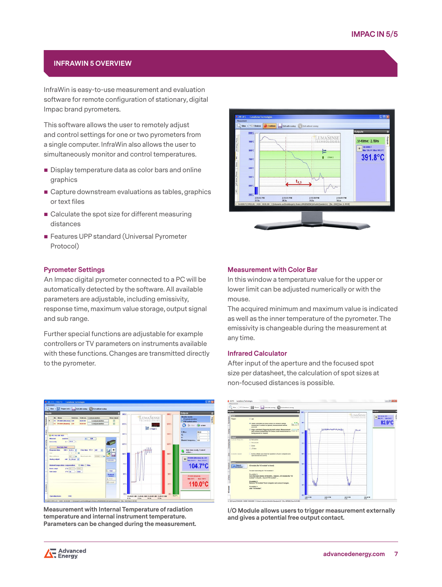## **INFRAWIN 5 OVERVIEW**

InfraWin is easy-to-use measurement and evaluation software for remote configuration of stationary, digital Impac brand pyrometers.

This software allows the user to remotely adjust and control settings for one or two pyrometers from a single computer. InfraWin also allows the user to simultaneously monitor and control temperatures.

- Display temperature data as color bars and online graphics
- Capture downstream evaluations as tables, graphics or text files
- Calculate the spot size for different measuring distances
- **Features UPP standard (Universal Pyrometer** Protocol)

## **Pyrometer Settings**

An Impac digital pyrometer connected to a PC will be automatically detected by the software. All available parameters are adjustable, including emissivity, response time, maximum value storage, output signal and sub range.

Further special functions are adjustable for example controllers or TV parameters on instruments available with these functions. Changes are transmitted directly to the pyrometer.



**Measurement with Internal Temperature of radiation temperature and internal instrument temperature. Parameters can be changed during the measurement.**



#### **Measurement with Color Bar**

In this window a temperature value for the upper or lower limit can be adjusted numerically or with the mouse.

The acquired minimum and maximum value is indicated as well as the inner temperature of the pyrometer. The emissivity is changeable during the measurement at any time.

## **Infrared Calculator**

After input of the aperture and the focused spot size per datasheet, the calculation of spot sizes at non-focused distances is possible.



**I/O Module allows users to trigger measurement externally and gives a potential free output contact.**